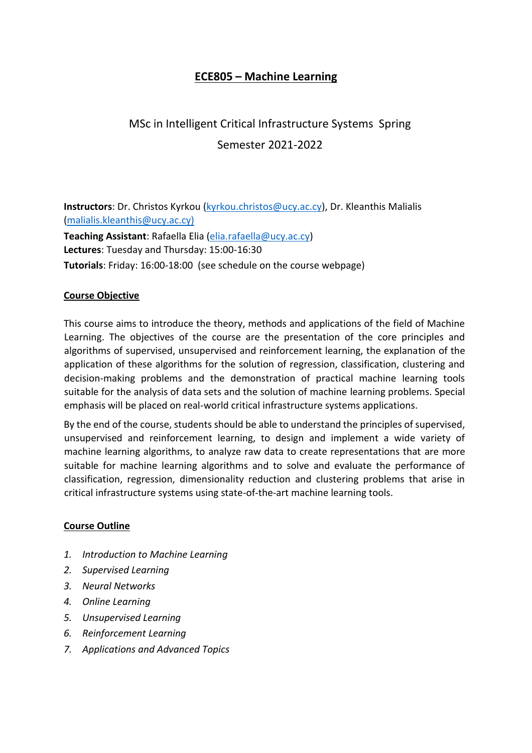# **ECE805 – Machine Learning**

# MSc in Intelligent Critical Infrastructure Systems Spring Semester 2021-2022

**Instructors**: Dr. Christos Kyrkou (kyrkou.christos@ucy.ac.cy), Dr. Kleanthis Malialis (malialis.kleanthis@ucy.ac.cy) **Teaching Assistant**: Rafaella Elia (elia.rafaella@ucy.ac.cy) **Lectures**: Tuesday and Thursday: 15:00-16:30 **Tutorials**: Friday: 16:00-18:00 (see schedule on the course webpage)

#### **Course Objective**

This course aims to introduce the theory, methods and applications of the field of Machine Learning. The objectives of the course are the presentation of the core principles and algorithms of supervised, unsupervised and reinforcement learning, the explanation of the application of these algorithms for the solution of regression, classification, clustering and decision-making problems and the demonstration of practical machine learning tools suitable for the analysis of data sets and the solution of machine learning problems. Special emphasis will be placed on real-world critical infrastructure systems applications.

By the end of the course, students should be able to understand the principles of supervised, unsupervised and reinforcement learning, to design and implement a wide variety of machine learning algorithms, to analyze raw data to create representations that are more suitable for machine learning algorithms and to solve and evaluate the performance of classification, regression, dimensionality reduction and clustering problems that arise in critical infrastructure systems using state-of-the-art machine learning tools.

#### **Course Outline**

- *1. Introduction to Machine Learning*
- *2. Supervised Learning*
- *3. Neural Networks*
- *4. Online Learning*
- *5. Unsupervised Learning*
- *6. Reinforcement Learning*
- *7. Applications and Advanced Topics*